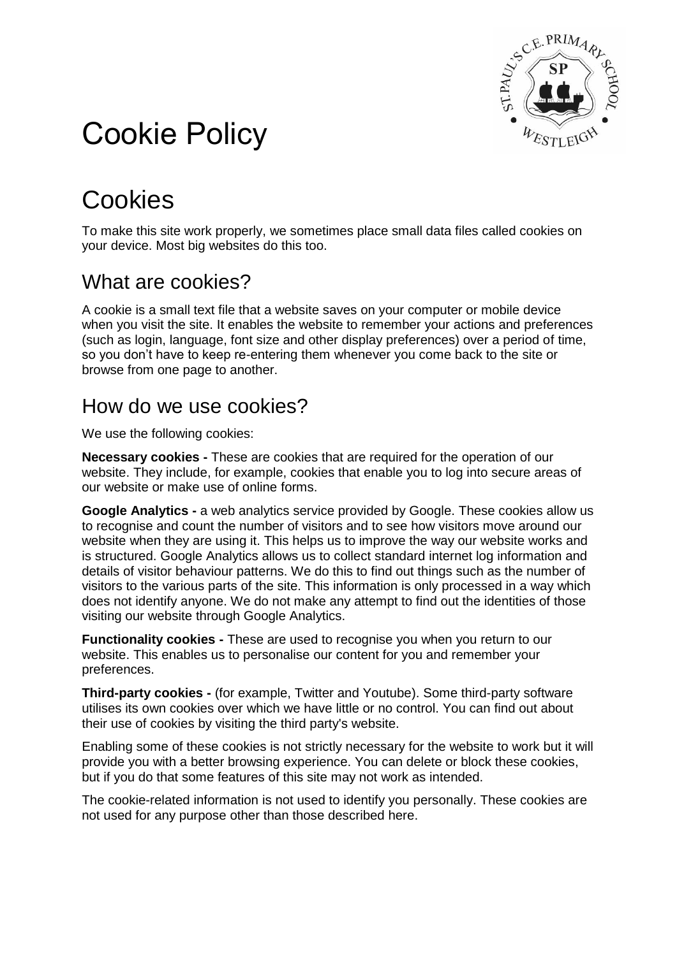

# Cookie Policy

## **Cookies**

To make this site work properly, we sometimes place small data files called cookies on your device. Most big websites do this too.

#### What are cookies?

A cookie is a small text file that a website saves on your computer or mobile device when you visit the site. It enables the website to remember your actions and preferences (such as login, language, font size and other display preferences) over a period of time, so you don't have to keep re-entering them whenever you come back to the site or browse from one page to another.

#### How do we use cookies?

We use the following cookies:

**Necessary cookies -** These are cookies that are required for the operation of our website. They include, for example, cookies that enable you to log into secure areas of our website or make use of online forms.

**Google Analytics -** a web analytics service provided by Google. These cookies allow us to recognise and count the number of visitors and to see how visitors move around our website when they are using it. This helps us to improve the way our website works and is structured. Google Analytics allows us to collect standard internet log information and details of visitor behaviour patterns. We do this to find out things such as the number of visitors to the various parts of the site. This information is only processed in a way which does not identify anyone. We do not make any attempt to find out the identities of those visiting our website through Google Analytics.

**Functionality cookies -** These are used to recognise you when you return to our website. This enables us to personalise our content for you and remember your preferences.

**Third-party cookies -** (for example, Twitter and Youtube). Some third-party software utilises its own cookies over which we have little or no control. You can find out about their use of cookies by visiting the third party's website.

Enabling some of these cookies is not strictly necessary for the website to work but it will provide you with a better browsing experience. You can delete or block these cookies, but if you do that some features of this site may not work as intended.

The cookie-related information is not used to identify you personally. These cookies are not used for any purpose other than those described here.